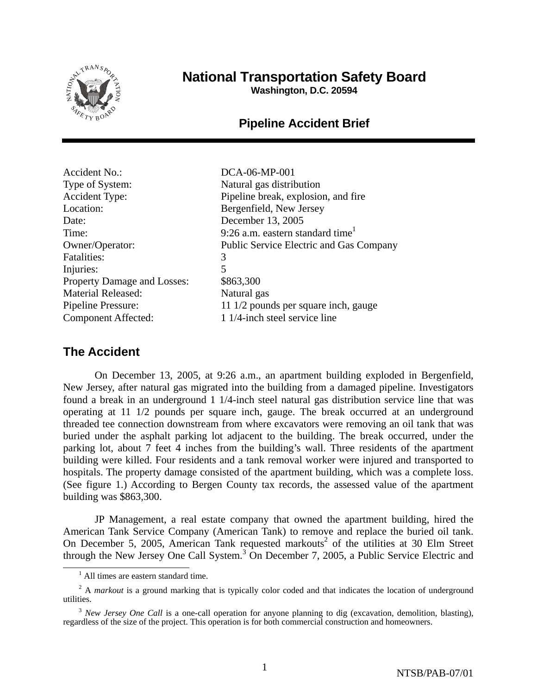

# **National Transportation Safety Board**

**Washington, D.C. 20594** 

## **Pipeline Accident Brief**

Accident No.: DCA-06-MP-001 Type of System: Natural gas distribution Location: Bergenfield, New Jersey Date: December 13, 2005 Fatalities: 3 Injuries: 5 Property Damage and Losses: \$863,300 Material Released: Natural gas

Accident Type: Pipeline break, explosion, and fire Time: 9:26 a.m. eastern standard time<sup>1</sup> Owner/Operator: Public Service Electric and Gas Company Pipeline Pressure: 11 1/2 pounds per square inch, gauge Component Affected: 1 1/4-inch steel service line

## **The Accident**

On December 13, 2005, at 9:26 a.m., an apartment building exploded in Bergenfield, New Jersey, after natural gas migrated into the building from a damaged pipeline. Investigators found a break in an underground 1 1/4-inch steel natural gas distribution service line that was operating at 11 1/2 pounds per square inch, gauge. The break occurred at an underground threaded tee connection downstream from where excavators were removing an oil tank that was buried under the asphalt parking lot adjacent to the building. The break occurred, under the parking lot, about 7 feet 4 inches from the building's wall. Three residents of the apartment building were killed. Four residents and a tank removal worker were injured and transported to hospitals. The property damage consisted of the apartment building, which was a complete loss. (See figure 1.) According to Bergen County tax records, the assessed value of the apartment building was \$863,300.

JP Management, a real estate company that owned the apartment building, hired the American Tank Service Company (American Tank) to remove and replace the buried oil tank. On December 5, 2005, American Tank requested markouts<sup>2</sup> of the utilities at 30 Elm Street through the New Jersey One Call System.<sup>3</sup> On December 7, 2005, a Public Service Electric and

 $\frac{1}{1}$  $<sup>1</sup>$  All times are eastern standard time.</sup>

<sup>&</sup>lt;sup>2</sup> A *markout* is a ground marking that is typically color coded and that indicates the location of underground utilities.

<sup>&</sup>lt;sup>3</sup> *New Jersey One Call* is a one-call operation for anyone planning to dig (excavation, demolition, blasting), regardless of the size of the project. This operation is for both commercial construction and homeowners.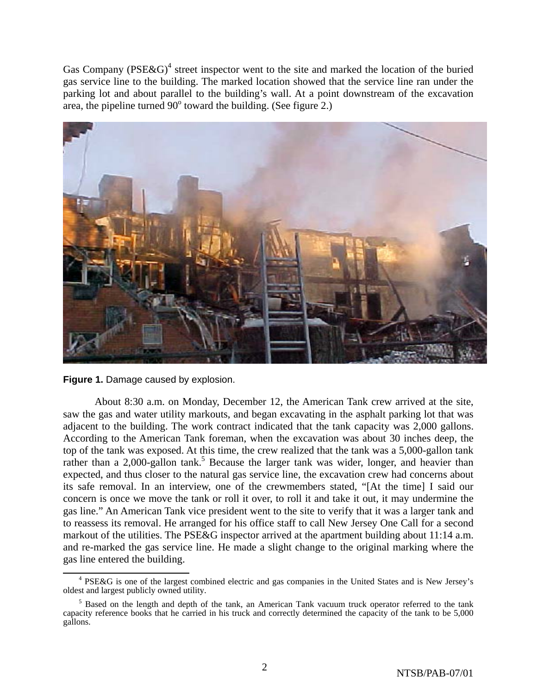Gas Company ( $PSE&G$ )<sup>4</sup> street inspector went to the site and marked the location of the buried gas service line to the building. The marked location showed that the service line ran under the parking lot and about parallel to the building's wall. At a point downstream of the excavation area, the pipeline turned  $90^\circ$  toward the building. (See figure 2.)





About 8:30 a.m. on Monday, December 12, the American Tank crew arrived at the site, saw the gas and water utility markouts, and began excavating in the asphalt parking lot that was adjacent to the building. The work contract indicated that the tank capacity was 2,000 gallons. According to the American Tank foreman, when the excavation was about 30 inches deep, the top of the tank was exposed. At this time, the crew realized that the tank was a 5,000-gallon tank rather than a 2,000-gallon tank.<sup>5</sup> Because the larger tank was wider, longer, and heavier than expected, and thus closer to the natural gas service line, the excavation crew had concerns about its safe removal. In an interview, one of the crewmembers stated, "[At the time] I said our concern is once we move the tank or roll it over, to roll it and take it out, it may undermine the gas line." An American Tank vice president went to the site to verify that it was a larger tank and to reassess its removal. He arranged for his office staff to call New Jersey One Call for a second markout of the utilities. The PSE&G inspector arrived at the apartment building about 11:14 a.m. and re-marked the gas service line. He made a slight change to the original marking where the gas line entered the building.

 $\frac{1}{4}$ <sup>4</sup> PSE&G is one of the largest combined electric and gas companies in the United States and is New Jersey's oldest and largest publicly owned utility.

<sup>&</sup>lt;sup>5</sup> Based on the length and depth of the tank, an American Tank vacuum truck operator referred to the tank capacity reference books that he carried in his truck and correctly determined the capacity of the tank to be 5,000 gallons.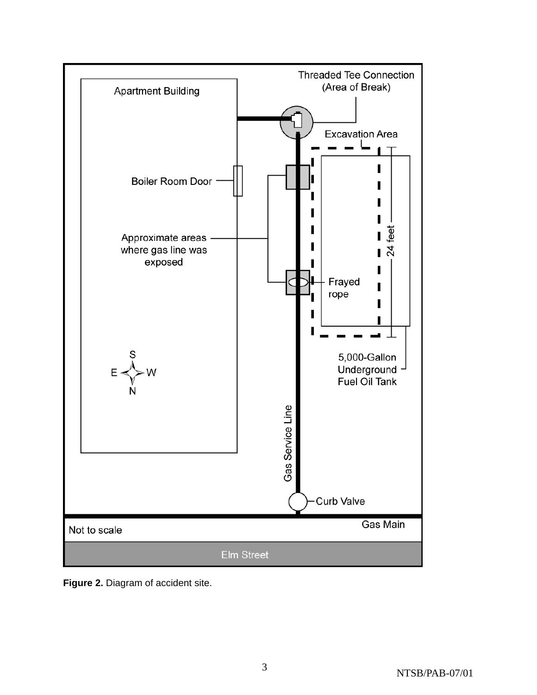

**Figure 2.** Diagram of accident site.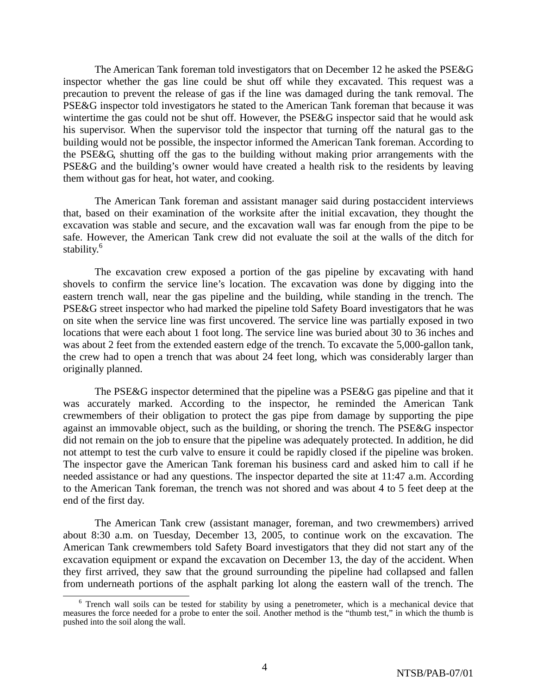The American Tank foreman told investigators that on December 12 he asked the PSE&G inspector whether the gas line could be shut off while they excavated. This request was a precaution to prevent the release of gas if the line was damaged during the tank removal. The PSE&G inspector told investigators he stated to the American Tank foreman that because it was wintertime the gas could not be shut off. However, the PSE&G inspector said that he would ask his supervisor. When the supervisor told the inspector that turning off the natural gas to the building would not be possible, the inspector informed the American Tank foreman. According to the PSE&G, shutting off the gas to the building without making prior arrangements with the PSE&G and the building's owner would have created a health risk to the residents by leaving them without gas for heat, hot water, and cooking.

The American Tank foreman and assistant manager said during postaccident interviews that, based on their examination of the worksite after the initial excavation, they thought the excavation was stable and secure, and the excavation wall was far enough from the pipe to be safe. However, the American Tank crew did not evaluate the soil at the walls of the ditch for stability.<sup>6</sup>

The excavation crew exposed a portion of the gas pipeline by excavating with hand shovels to confirm the service line's location. The excavation was done by digging into the eastern trench wall, near the gas pipeline and the building, while standing in the trench. The PSE&G street inspector who had marked the pipeline told Safety Board investigators that he was on site when the service line was first uncovered. The service line was partially exposed in two locations that were each about 1 foot long. The service line was buried about 30 to 36 inches and was about 2 feet from the extended eastern edge of the trench. To excavate the 5,000-gallon tank, the crew had to open a trench that was about 24 feet long, which was considerably larger than originally planned.

The PSE&G inspector determined that the pipeline was a PSE&G gas pipeline and that it was accurately marked. According to the inspector, he reminded the American Tank crewmembers of their obligation to protect the gas pipe from damage by supporting the pipe against an immovable object, such as the building, or shoring the trench. The PSE&G inspector did not remain on the job to ensure that the pipeline was adequately protected. In addition, he did not attempt to test the curb valve to ensure it could be rapidly closed if the pipeline was broken. The inspector gave the American Tank foreman his business card and asked him to call if he needed assistance or had any questions. The inspector departed the site at 11:47 a.m. According to the American Tank foreman, the trench was not shored and was about 4 to 5 feet deep at the end of the first day.

The American Tank crew (assistant manager, foreman, and two crewmembers) arrived about 8:30 a.m. on Tuesday, December 13, 2005, to continue work on the excavation. The American Tank crewmembers told Safety Board investigators that they did not start any of the excavation equipment or expand the excavation on December 13, the day of the accident. When they first arrived, they saw that the ground surrounding the pipeline had collapsed and fallen from underneath portions of the asphalt parking lot along the eastern wall of the trench. The

<sup>&</sup>lt;sup>6</sup> Trench wall soils can be tested for stability by using a penetrometer, which is a mechanical device that measures the force needed for a probe to enter the soil. Another method is the "thumb test," in which the thumb is pushed into the soil along the wall.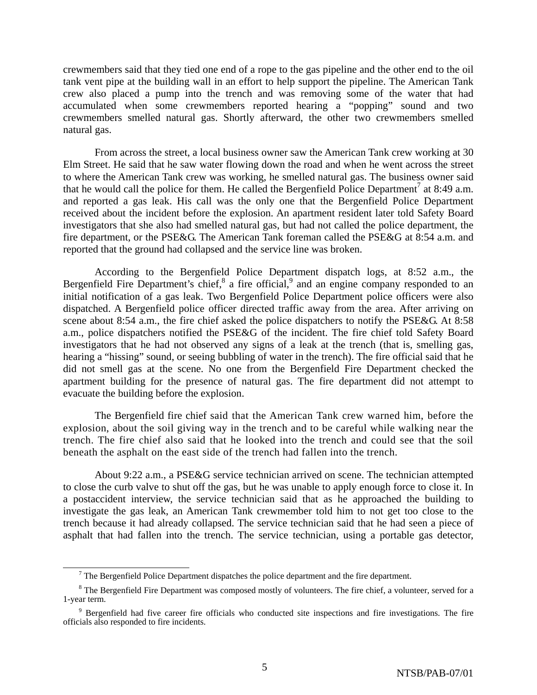crewmembers said that they tied one end of a rope to the gas pipeline and the other end to the oil tank vent pipe at the building wall in an effort to help support the pipeline. The American Tank crew also placed a pump into the trench and was removing some of the water that had accumulated when some crewmembers reported hearing a "popping" sound and two crewmembers smelled natural gas. Shortly afterward, the other two crewmembers smelled natural gas.

From across the street, a local business owner saw the American Tank crew working at 30 Elm Street. He said that he saw water flowing down the road and when he went across the street to where the American Tank crew was working, he smelled natural gas. The business owner said that he would call the police for them. He called the Bergenfield Police Department<sup>7</sup> at 8:49 a.m. and reported a gas leak. His call was the only one that the Bergenfield Police Department received about the incident before the explosion. An apartment resident later told Safety Board investigators that she also had smelled natural gas, but had not called the police department, the fire department, or the PSE&G. The American Tank foreman called the PSE&G at 8:54 a.m. and reported that the ground had collapsed and the service line was broken.

According to the Bergenfield Police Department dispatch logs, at 8:52 a.m., the Bergenfield Fire Department's chief, $8$  a fire official, $9$  and an engine company responded to an initial notification of a gas leak. Two Bergenfield Police Department police officers were also dispatched. A Bergenfield police officer directed traffic away from the area. After arriving on scene about 8:54 a.m., the fire chief asked the police dispatchers to notify the PSE&G. At 8:58 a.m., police dispatchers notified the PSE&G of the incident. The fire chief told Safety Board investigators that he had not observed any signs of a leak at the trench (that is, smelling gas, hearing a "hissing" sound, or seeing bubbling of water in the trench). The fire official said that he did not smell gas at the scene. No one from the Bergenfield Fire Department checked the apartment building for the presence of natural gas. The fire department did not attempt to evacuate the building before the explosion.

The Bergenfield fire chief said that the American Tank crew warned him, before the explosion, about the soil giving way in the trench and to be careful while walking near the trench. The fire chief also said that he looked into the trench and could see that the soil beneath the asphalt on the east side of the trench had fallen into the trench.

About 9:22 a.m., a PSE&G service technician arrived on scene. The technician attempted to close the curb valve to shut off the gas, but he was unable to apply enough force to close it. In a postaccident interview, the service technician said that as he approached the building to investigate the gas leak, an American Tank crewmember told him to not get too close to the trench because it had already collapsed. The service technician said that he had seen a piece of asphalt that had fallen into the trench. The service technician, using a portable gas detector,

 $\frac{1}{7}$  $\sigma$ <sup>7</sup> The Bergenfield Police Department dispatches the police department and the fire department.

 $8$  The Bergenfield Fire Department was composed mostly of volunteers. The fire chief, a volunteer, served for a 1-year term.

<sup>&</sup>lt;sup>9</sup> Bergenfield had five career fire officials who conducted site inspections and fire investigations. The fire officials also responded to fire incidents.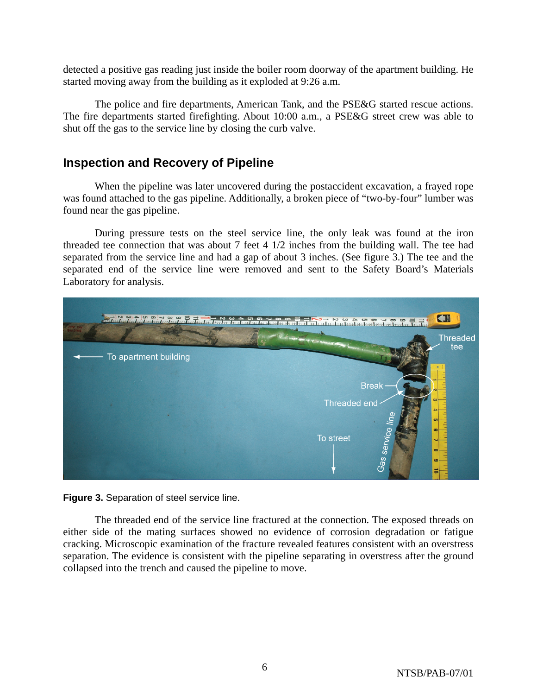detected a positive gas reading just inside the boiler room doorway of the apartment building. He started moving away from the building as it exploded at 9:26 a.m.

The police and fire departments, American Tank, and the PSE&G started rescue actions. The fire departments started firefighting. About 10:00 a.m., a PSE&G street crew was able to shut off the gas to the service line by closing the curb valve.

## **Inspection and Recovery of Pipeline**

When the pipeline was later uncovered during the postaccident excavation, a frayed rope was found attached to the gas pipeline. Additionally, a broken piece of "two-by-four" lumber was found near the gas pipeline.

During pressure tests on the steel service line, the only leak was found at the iron threaded tee connection that was about 7 feet 4 1/2 inches from the building wall. The tee had separated from the service line and had a gap of about 3 inches. (See figure 3.) The tee and the separated end of the service line were removed and sent to the Safety Board's Materials Laboratory for analysis.



**Figure 3.** Separation of steel service line.

The threaded end of the service line fractured at the connection. The exposed threads on either side of the mating surfaces showed no evidence of corrosion degradation or fatigue cracking. Microscopic examination of the fracture revealed features consistent with an overstress separation. The evidence is consistent with the pipeline separating in overstress after the ground collapsed into the trench and caused the pipeline to move.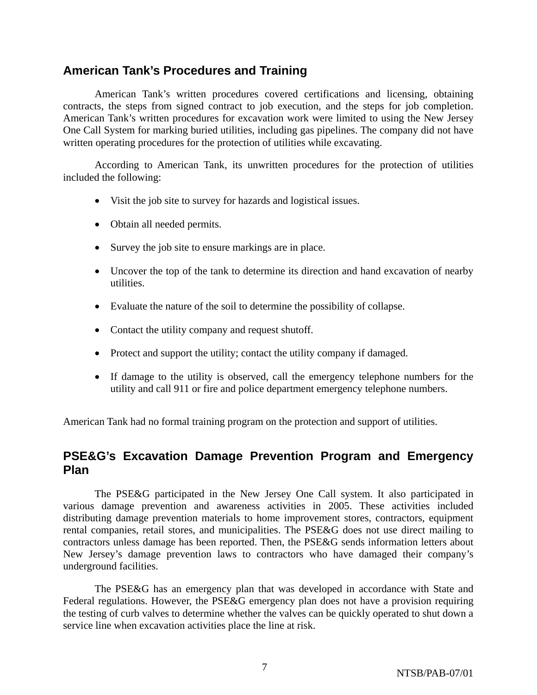### **American Tank's Procedures and Training**

American Tank's written procedures covered certifications and licensing, obtaining contracts, the steps from signed contract to job execution, and the steps for job completion. American Tank's written procedures for excavation work were limited to using the New Jersey One Call System for marking buried utilities, including gas pipelines. The company did not have written operating procedures for the protection of utilities while excavating.

According to American Tank, its unwritten procedures for the protection of utilities included the following:

- Visit the job site to survey for hazards and logistical issues.
- Obtain all needed permits.
- Survey the job site to ensure markings are in place.
- Uncover the top of the tank to determine its direction and hand excavation of nearby utilities.
- Evaluate the nature of the soil to determine the possibility of collapse.
- Contact the utility company and request shutoff.
- Protect and support the utility; contact the utility company if damaged.
- If damage to the utility is observed, call the emergency telephone numbers for the utility and call 911 or fire and police department emergency telephone numbers.

American Tank had no formal training program on the protection and support of utilities.

## **PSE&G's Excavation Damage Prevention Program and Emergency Plan**

The PSE&G participated in the New Jersey One Call system. It also participated in various damage prevention and awareness activities in 2005. These activities included distributing damage prevention materials to home improvement stores, contractors, equipment rental companies, retail stores, and municipalities. The PSE&G does not use direct mailing to contractors unless damage has been reported. Then, the PSE&G sends information letters about New Jersey's damage prevention laws to contractors who have damaged their company's underground facilities.

The PSE&G has an emergency plan that was developed in accordance with State and Federal regulations. However, the PSE&G emergency plan does not have a provision requiring the testing of curb valves to determine whether the valves can be quickly operated to shut down a service line when excavation activities place the line at risk.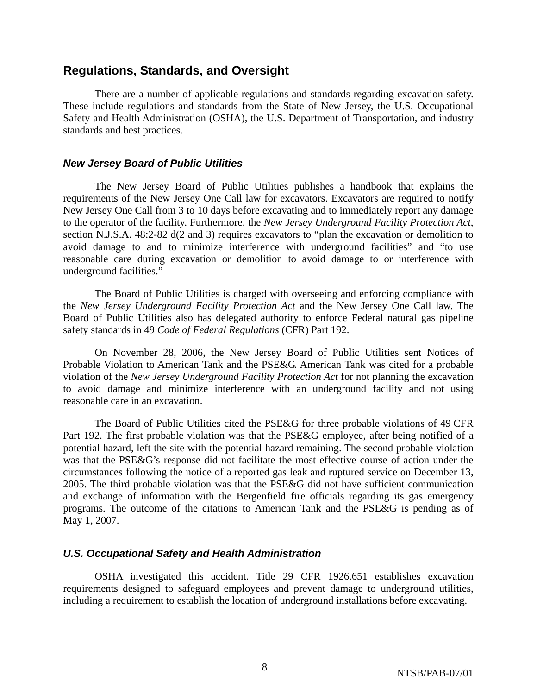### **Regulations, Standards, and Oversight**

There are a number of applicable regulations and standards regarding excavation safety. These include regulations and standards from the State of New Jersey, the U.S. Occupational Safety and Health Administration (OSHA), the U.S. Department of Transportation, and industry standards and best practices.

### *New Jersey Board of Public Utilities*

The New Jersey Board of Public Utilities publishes a handbook that explains the requirements of the New Jersey One Call law for excavators. Excavators are required to notify New Jersey One Call from 3 to 10 days before excavating and to immediately report any damage to the operator of the facility. Furthermore, the *New Jersey Underground Facility Protection Act*, section N.J.S.A. 48:2-82 d(2 and 3) requires excavators to "plan the excavation or demolition to avoid damage to and to minimize interference with underground facilities" and "to use reasonable care during excavation or demolition to avoid damage to or interference with underground facilities."

The Board of Public Utilities is charged with overseeing and enforcing compliance with the *New Jersey Underground Facility Protection Act* and the New Jersey One Call law. The Board of Public Utilities also has delegated authority to enforce Federal natural gas pipeline safety standards in 49 *Code of Federal Regulations* (CFR) Part 192.

On November 28, 2006, the New Jersey Board of Public Utilities sent Notices of Probable Violation to American Tank and the PSE&G. American Tank was cited for a probable violation of the *New Jersey Underground Facility Protection Act* for not planning the excavation to avoid damage and minimize interference with an underground facility and not using reasonable care in an excavation.

The Board of Public Utilities cited the PSE&G for three probable violations of 49 CFR Part 192. The first probable violation was that the PSE&G employee, after being notified of a potential hazard, left the site with the potential hazard remaining. The second probable violation was that the PSE&G's response did not facilitate the most effective course of action under the circumstances following the notice of a reported gas leak and ruptured service on December 13, 2005. The third probable violation was that the PSE&G did not have sufficient communication and exchange of information with the Bergenfield fire officials regarding its gas emergency programs. The outcome of the citations to American Tank and the PSE&G is pending as of May 1, 2007.

### *U.S. Occupational Safety and Health Administration*

OSHA investigated this accident. Title 29 CFR 1926.651 establishes excavation requirements designed to safeguard employees and prevent damage to underground utilities, including a requirement to establish the location of underground installations before excavating.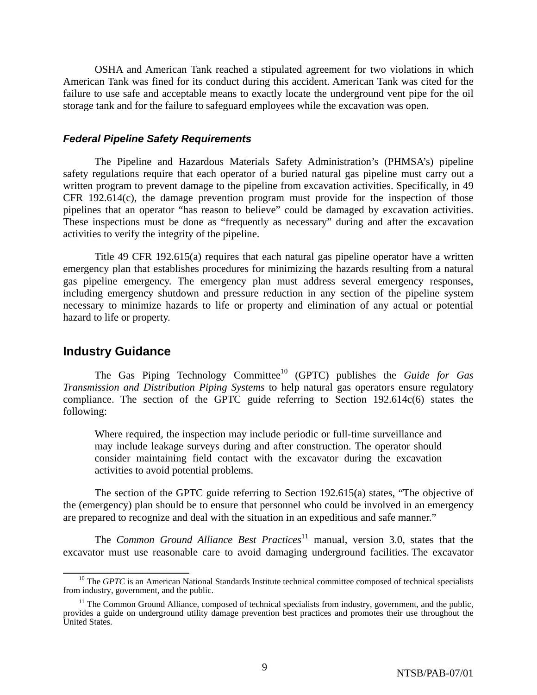OSHA and American Tank reached a stipulated agreement for two violations in which American Tank was fined for its conduct during this accident. American Tank was cited for the failure to use safe and acceptable means to exactly locate the underground vent pipe for the oil storage tank and for the failure to safeguard employees while the excavation was open.

#### *Federal Pipeline Safety Requirements*

The Pipeline and Hazardous Materials Safety Administration's (PHMSA's) pipeline safety regulations require that each operator of a buried natural gas pipeline must carry out a written program to prevent damage to the pipeline from excavation activities. Specifically, in 49 CFR 192.614(c), the damage prevention program must provide for the inspection of those pipelines that an operator "has reason to believe" could be damaged by excavation activities. These inspections must be done as "frequently as necessary" during and after the excavation activities to verify the integrity of the pipeline.

Title 49 CFR 192.615(a) requires that each natural gas pipeline operator have a written emergency plan that establishes procedures for minimizing the hazards resulting from a natural gas pipeline emergency. The emergency plan must address several emergency responses, including emergency shutdown and pressure reduction in any section of the pipeline system necessary to minimize hazards to life or property and elimination of any actual or potential hazard to life or property.

### **Industry Guidance**

The Gas Piping Technology Committee<sup>10</sup> (GPTC) publishes the *Guide for Gas Transmission and Distribution Piping Systems* to help natural gas operators ensure regulatory compliance. The section of the GPTC guide referring to Section 192.614c(6) states the following:

Where required, the inspection may include periodic or full-time surveillance and may include leakage surveys during and after construction. The operator should consider maintaining field contact with the excavator during the excavation activities to avoid potential problems.

The section of the GPTC guide referring to Section 192.615(a) states, "The objective of the (emergency) plan should be to ensure that personnel who could be involved in an emergency are prepared to recognize and deal with the situation in an expeditious and safe manner."

The *Common Ground Alliance Best Practices*<sup>11</sup> manual, version 3.0, states that the excavator must use reasonable care to avoid damaging underground facilities. The excavator

<sup>&</sup>lt;sup>10</sup> The *GPTC* is an American National Standards Institute technical committee composed of technical specialists from industry, government, and the public.

 $11$  The Common Ground Alliance, composed of technical specialists from industry, government, and the public, provides a guide on underground utility damage prevention best practices and promotes their use throughout the United States.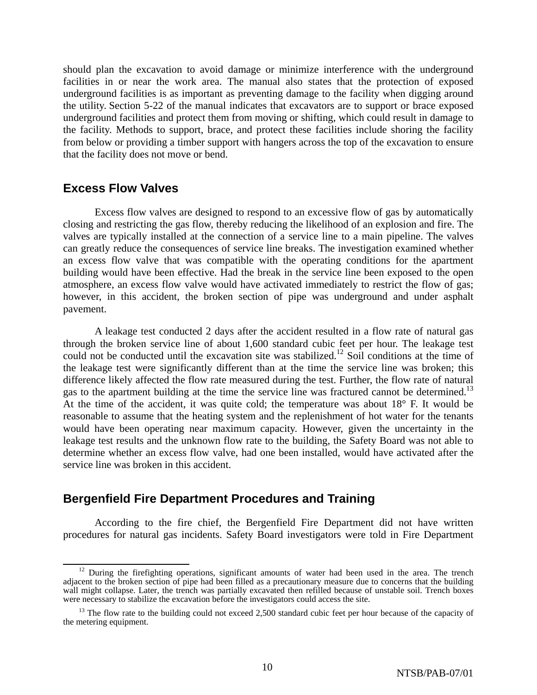should plan the excavation to avoid damage or minimize interference with the underground facilities in or near the work area. The manual also states that the protection of exposed underground facilities is as important as preventing damage to the facility when digging around the utility. Section 5-22 of the manual indicates that excavators are to support or brace exposed underground facilities and protect them from moving or shifting, which could result in damage to the facility. Methods to support, brace, and protect these facilities include shoring the facility from below or providing a timber support with hangers across the top of the excavation to ensure that the facility does not move or bend.

### **Excess Flow Valves**

Excess flow valves are designed to respond to an excessive flow of gas by automatically closing and restricting the gas flow, thereby reducing the likelihood of an explosion and fire. The valves are typically installed at the connection of a service line to a main pipeline. The valves can greatly reduce the consequences of service line breaks. The investigation examined whether an excess flow valve that was compatible with the operating conditions for the apartment building would have been effective. Had the break in the service line been exposed to the open atmosphere, an excess flow valve would have activated immediately to restrict the flow of gas; however, in this accident, the broken section of pipe was underground and under asphalt pavement.

A leakage test conducted 2 days after the accident resulted in a flow rate of natural gas through the broken service line of about 1,600 standard cubic feet per hour. The leakage test could not be conducted until the excavation site was stabilized.<sup>12</sup> Soil conditions at the time of the leakage test were significantly different than at the time the service line was broken; this difference likely affected the flow rate measured during the test. Further, the flow rate of natural gas to the apartment building at the time the service line was fractured cannot be determined.<sup>13</sup> At the time of the accident, it was quite cold; the temperature was about  $18^{\circ}$  F. It would be reasonable to assume that the heating system and the replenishment of hot water for the tenants would have been operating near maximum capacity. However, given the uncertainty in the leakage test results and the unknown flow rate to the building, the Safety Board was not able to determine whether an excess flow valve, had one been installed, would have activated after the service line was broken in this accident.

### **Bergenfield Fire Department Procedures and Training**

According to the fire chief, the Bergenfield Fire Department did not have written procedures for natural gas incidents. Safety Board investigators were told in Fire Department

<sup>&</sup>lt;sup>12</sup> During the firefighting operations, significant amounts of water had been used in the area. The trench adjacent to the broken section of pipe had been filled as a precautionary measure due to concerns that the building wall might collapse. Later, the trench was partially excavated then refilled because of unstable soil. Trench boxes were necessary to stabilize the excavation before the investigators could access the site.

<sup>&</sup>lt;sup>13</sup> The flow rate to the building could not exceed 2,500 standard cubic feet per hour because of the capacity of the metering equipment.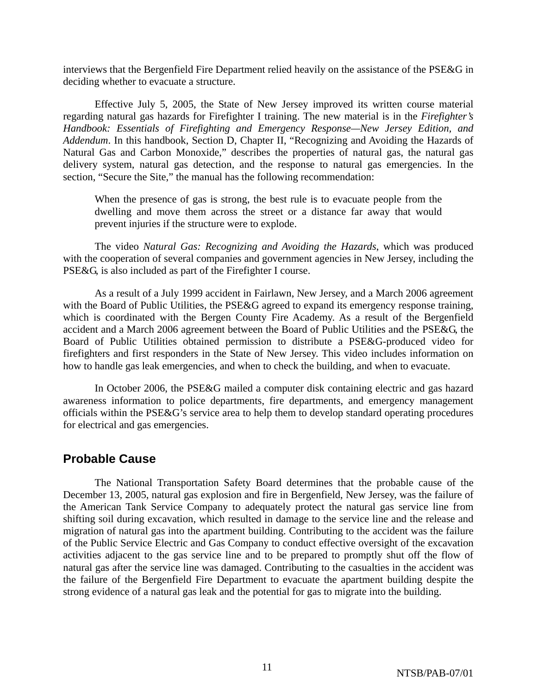interviews that the Bergenfield Fire Department relied heavily on the assistance of the PSE&G in deciding whether to evacuate a structure.

Effective July 5, 2005, the State of New Jersey improved its written course material regarding natural gas hazards for Firefighter I training. The new material is in the *Firefighter's Handbook: Essentials of Firefighting and Emergency Response—New Jersey Edition, and Addendum*. In this handbook, Section D, Chapter II, "Recognizing and Avoiding the Hazards of Natural Gas and Carbon Monoxide," describes the properties of natural gas, the natural gas delivery system, natural gas detection, and the response to natural gas emergencies. In the section, "Secure the Site," the manual has the following recommendation:

When the presence of gas is strong, the best rule is to evacuate people from the dwelling and move them across the street or a distance far away that would prevent injuries if the structure were to explode.

The video *Natural Gas: Recognizing and Avoiding the Hazards*, which was produced with the cooperation of several companies and government agencies in New Jersey, including the PSE&G, is also included as part of the Firefighter I course.

As a result of a July 1999 accident in Fairlawn, New Jersey, and a March 2006 agreement with the Board of Public Utilities, the PSE&G agreed to expand its emergency response training, which is coordinated with the Bergen County Fire Academy. As a result of the Bergenfield accident and a March 2006 agreement between the Board of Public Utilities and the PSE&G, the Board of Public Utilities obtained permission to distribute a PSE&G-produced video for firefighters and first responders in the State of New Jersey. This video includes information on how to handle gas leak emergencies, and when to check the building, and when to evacuate.

In October 2006, the PSE&G mailed a computer disk containing electric and gas hazard awareness information to police departments, fire departments, and emergency management officials within the PSE&G's service area to help them to develop standard operating procedures for electrical and gas emergencies.

### **Probable Cause**

The National Transportation Safety Board determines that the probable cause of the December 13, 2005, natural gas explosion and fire in Bergenfield, New Jersey, was the failure of the American Tank Service Company to adequately protect the natural gas service line from shifting soil during excavation, which resulted in damage to the service line and the release and migration of natural gas into the apartment building. Contributing to the accident was the failure of the Public Service Electric and Gas Company to conduct effective oversight of the excavation activities adjacent to the gas service line and to be prepared to promptly shut off the flow of natural gas after the service line was damaged. Contributing to the casualties in the accident was the failure of the Bergenfield Fire Department to evacuate the apartment building despite the strong evidence of a natural gas leak and the potential for gas to migrate into the building.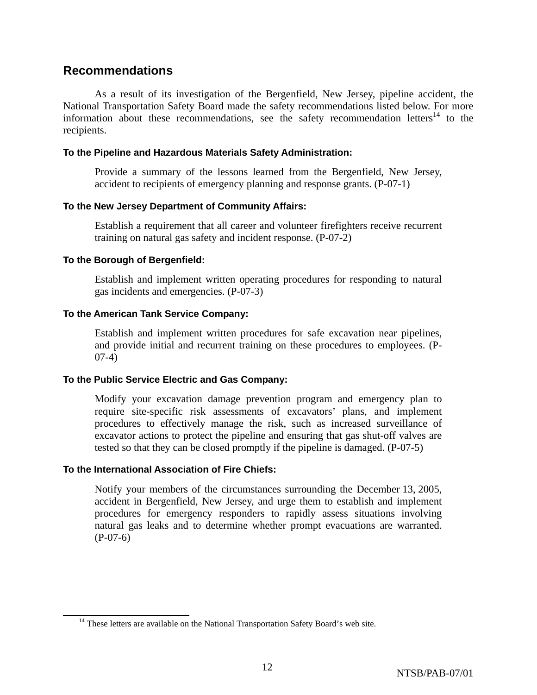### **Recommendations**

As a result of its investigation of the Bergenfield, New Jersey, pipeline accident, the National Transportation Safety Board made the safety recommendations listed below. For more information about these recommendations, see the safety recommendation letters<sup>14</sup> to the recipients.

### **To the Pipeline and Hazardous Materials Safety Administration:**

Provide a summary of the lessons learned from the Bergenfield, New Jersey, accident to recipients of emergency planning and response grants. (P-07-1)

### **To the New Jersey Department of Community Affairs:**

Establish a requirement that all career and volunteer firefighters receive recurrent training on natural gas safety and incident response. (P-07-2)

### **To the Borough of Bergenfield:**

Establish and implement written operating procedures for responding to natural gas incidents and emergencies. (P-07-3)

### **To the American Tank Service Company:**

Establish and implement written procedures for safe excavation near pipelines, and provide initial and recurrent training on these procedures to employees. (P-07-4)

### **To the Public Service Electric and Gas Company:**

Modify your excavation damage prevention program and emergency plan to require site-specific risk assessments of excavators' plans, and implement procedures to effectively manage the risk, such as increased surveillance of excavator actions to protect the pipeline and ensuring that gas shut-off valves are tested so that they can be closed promptly if the pipeline is damaged. (P-07-5)

### **To the International Association of Fire Chiefs:**

Notify your members of the circumstances surrounding the December 13, 2005, accident in Bergenfield, New Jersey, and urge them to establish and implement procedures for emergency responders to rapidly assess situations involving natural gas leaks and to determine whether prompt evacuations are warranted. (P-07-6)

<sup>&</sup>lt;sup>14</sup> These letters are available on the National Transportation Safety Board's web site.